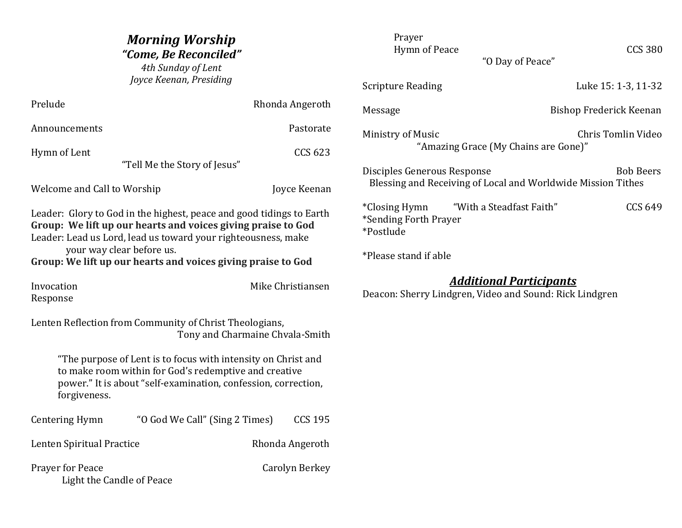| <b>Morning Worship</b><br>"Come, Be Reconciled"<br>4th Sunday of Lent<br>Joyce Keenan, Presiding                                                                                                                                   |                                                                                                                                                                                          |                       | Prayer<br><b>CCS 380</b><br><b>Hymn of Peace</b><br>"O Day of Peace"                      |                                                                                                                 |                         |
|------------------------------------------------------------------------------------------------------------------------------------------------------------------------------------------------------------------------------------|------------------------------------------------------------------------------------------------------------------------------------------------------------------------------------------|-----------------------|-------------------------------------------------------------------------------------------|-----------------------------------------------------------------------------------------------------------------|-------------------------|
|                                                                                                                                                                                                                                    |                                                                                                                                                                                          |                       | <b>Scripture Reading</b>                                                                  |                                                                                                                 | Luke 15: 1-3, 11-32     |
| Prelude                                                                                                                                                                                                                            |                                                                                                                                                                                          | Rhonda Angeroth       | Message                                                                                   |                                                                                                                 | Bishop Frederick Keenan |
| Announcements                                                                                                                                                                                                                      |                                                                                                                                                                                          | Pastorate             |                                                                                           | Ministry of Music                                                                                               | Chris Tomlin Video      |
| Hymn of Lent                                                                                                                                                                                                                       |                                                                                                                                                                                          | <b>CCS 623</b>        |                                                                                           | "Amazing Grace (My Chains are Gone)"                                                                            |                         |
|                                                                                                                                                                                                                                    | "Tell Me the Story of Jesus"<br>Welcome and Call to Worship                                                                                                                              |                       |                                                                                           | Disciples Generous Response<br><b>Bob Beers</b><br>Blessing and Receiving of Local and Worldwide Mission Tithes |                         |
| Leader: Glory to God in the highest, peace and good tidings to Earth<br>Group: We lift up our hearts and voices giving praise to God<br>Leader: Lead us Lord, lead us toward your righteousness, make<br>your way clear before us. |                                                                                                                                                                                          |                       | <i>*Closing Hymn</i><br>*Sending Forth Prayer<br>*Postlude<br>*Please stand if able       | "With a Steadfast Faith"                                                                                        | <b>CCS 649</b>          |
| Group: We lift up our hearts and voices giving praise to God<br>Invocation<br>Response                                                                                                                                             |                                                                                                                                                                                          | Mike Christiansen     | <b>Additional Participants</b><br>Deacon: Sherry Lindgren, Video and Sound: Rick Lindgren |                                                                                                                 |                         |
|                                                                                                                                                                                                                                    | Lenten Reflection from Community of Christ Theologians,<br>Tony and Charmaine Chvala-Smith                                                                                               |                       |                                                                                           |                                                                                                                 |                         |
| forgiveness.                                                                                                                                                                                                                       | "The purpose of Lent is to focus with intensity on Christ and<br>to make room within for God's redemptive and creative<br>power." It is about "self-examination, confession, correction, |                       |                                                                                           |                                                                                                                 |                         |
| <b>Centering Hymn</b>                                                                                                                                                                                                              | "O God We Call" (Sing 2 Times)                                                                                                                                                           | <b>CCS 195</b>        |                                                                                           |                                                                                                                 |                         |
| Lenten Spiritual Practice                                                                                                                                                                                                          |                                                                                                                                                                                          | Rhonda Angeroth       |                                                                                           |                                                                                                                 |                         |
| Prayer for Peace                                                                                                                                                                                                                   | Light the Candle of Peace                                                                                                                                                                | <b>Carolyn Berkey</b> |                                                                                           |                                                                                                                 |                         |